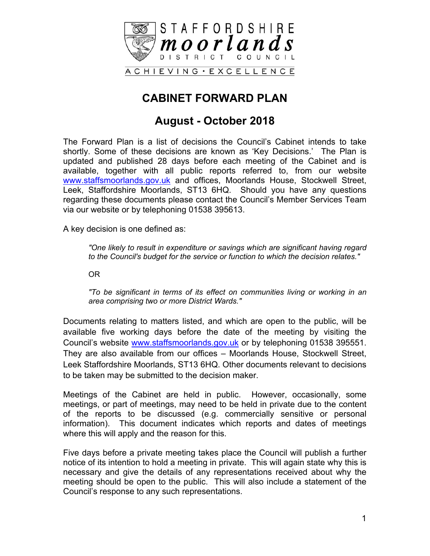

## **CABINET FORWARD PLAN**

### **August - October 2018**

The Forward Plan is a list of decisions the Council's Cabinet intends to take shortly. Some of these decisions are known as 'Key Decisions.' The Plan is updated and published 28 days before each meeting of the Cabinet and is available, together with all public reports referred to, from our website [www.staffsmoorlands.gov.uk](http://www.staffsmoorlands.gov.uk/) and offices, Moorlands House, Stockwell Street, Leek, Staffordshire Moorlands, ST13 6HQ. Should you have any questions regarding these documents please contact the Council's Member Services Team via our website or by telephoning 01538 395613.

A key decision is one defined as:

*"One likely to result in expenditure or savings which are significant having regard to the Council's budget for the service or function to which the decision relates."*

OR

*"To be significant in terms of its effect on communities living or working in an area comprising two or more District Wards."*

Documents relating to matters listed, and which are open to the public, will be available five working days before the date of the meeting by visiting the Council's website [www.staffsmoorlands.gov.uk](http://www.staffsmoorlands.gov.uk/) or by telephoning 01538 395551. They are also available from our offices – Moorlands House, Stockwell Street, Leek Staffordshire Moorlands, ST13 6HQ. Other documents relevant to decisions to be taken may be submitted to the decision maker.

Meetings of the Cabinet are held in public. However, occasionally, some meetings, or part of meetings, may need to be held in private due to the content of the reports to be discussed (e.g. commercially sensitive or personal information). This document indicates which reports and dates of meetings where this will apply and the reason for this.

Five days before a private meeting takes place the Council will publish a further notice of its intention to hold a meeting in private. This will again state why this is necessary and give the details of any representations received about why the meeting should be open to the public. This will also include a statement of the Council's response to any such representations.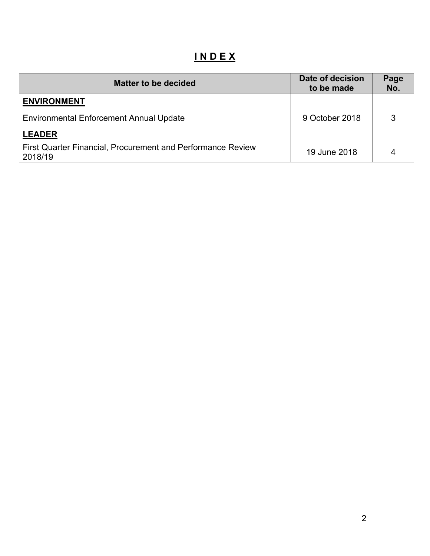# **I N D E X**

| <b>Matter to be decided</b>                                            | Date of decision<br>to be made | Page<br>No. |
|------------------------------------------------------------------------|--------------------------------|-------------|
| <b>ENVIRONMENT</b>                                                     |                                |             |
| <b>Environmental Enforcement Annual Update</b>                         | 9 October 2018                 | 3           |
| <b>LEADER</b>                                                          |                                |             |
| First Quarter Financial, Procurement and Performance Review<br>2018/19 | 19 June 2018                   | 4           |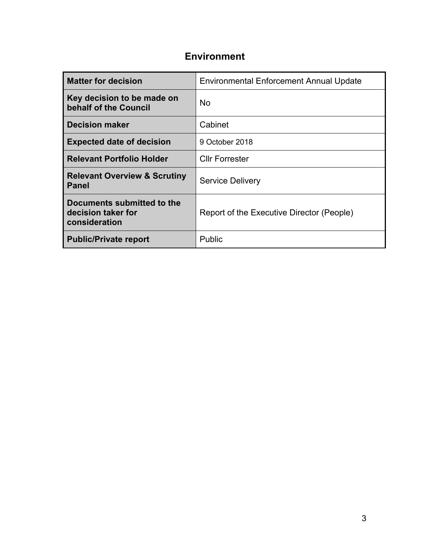### **Environment**

| <b>Matter for decision</b>                                        | <b>Environmental Enforcement Annual Update</b> |
|-------------------------------------------------------------------|------------------------------------------------|
| Key decision to be made on<br>behalf of the Council               | <b>No</b>                                      |
| <b>Decision maker</b>                                             | Cabinet                                        |
| <b>Expected date of decision</b>                                  | 9 October 2018                                 |
| <b>Relevant Portfolio Holder</b>                                  | <b>Cllr Forrester</b>                          |
| <b>Relevant Overview &amp; Scrutiny</b><br><b>Panel</b>           | <b>Service Delivery</b>                        |
| Documents submitted to the<br>decision taker for<br>consideration | Report of the Executive Director (People)      |
| <b>Public/Private report</b>                                      | Public                                         |